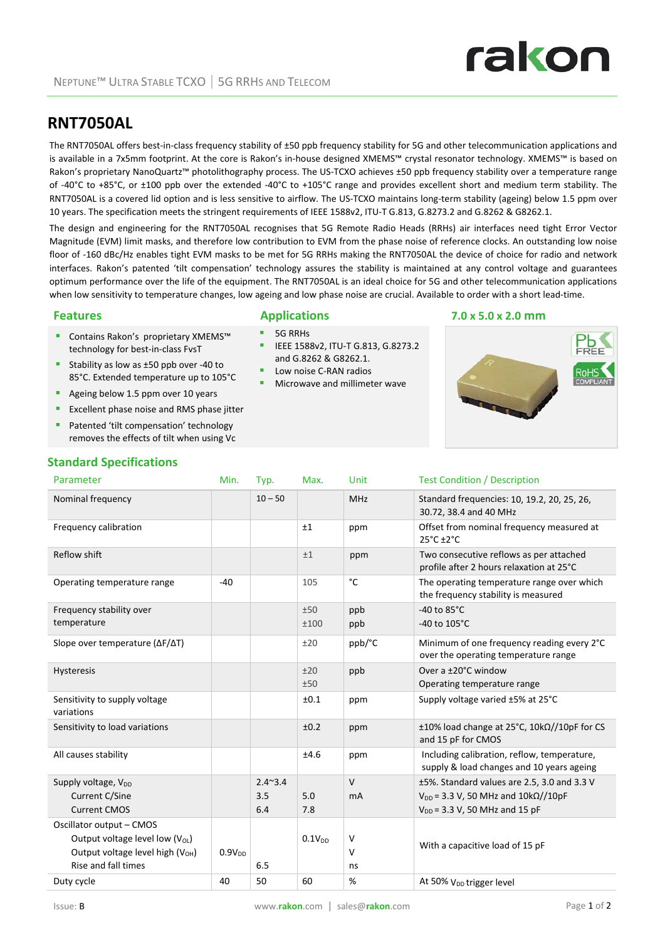

# **RNT7050AL**

The RNT7050AL offers best-in-class frequency stability of ±50 ppb frequency stability for 5G and other telecommunication applications and is available in a 7x5mm footprint. At the core is Rakon's in‐house designed XMEMS™ crystal resonator technology. XMEMS™ is based on Rakon's proprietary NanoQuartz™ photolithography process. The US-TCXO achieves ±50 ppb frequency stability over a temperature range of ‐40°C to +85°C, or ±100 ppb over the extended ‐40°C to +105°C range and provides excellent short and medium term stability. The RNT7050AL is a covered lid option and is less sensitive to airflow. The US‐TCXO maintains long‐term stability (ageing) below 1.5 ppm over 10 years. The specification meets the stringent requirements of IEEE 1588v2, ITU‐T G.813, G.8273.2 and G.8262 & G8262.1.

The design and engineering for the RNT7050AL recognises that 5G Remote Radio Heads (RRHs) air interfaces need tight Error Vector Magnitude (EVM) limit masks, and therefore low contribution to EVM from the phase noise of reference clocks. An outstanding low noise floor of ‐160 dBc/Hz enables tight EVM masks to be met for 5G RRHs making the RNT7050AL the device of choice for radio and network interfaces. Rakon's patented 'tilt compensation' technology assures the stability is maintained at any control voltage and guarantees optimum performance over the life of the equipment. The RNT7050AL is an ideal choice for 5G and other telecommunication applications when low sensitivity to temperature changes, low ageing and low phase noise are crucial. Available to order with a short lead‐time.

IEEE 1588v2, ITU‐T G.813, G.8273.2

and G.8262 & G8262.1. Low noise C‐RAN radios Microwave and millimeter wave

## **Features Applications 7.0 x 5.0 x 2.0 mm** 5G RRHs

- Contains Rakon's proprietary XMEMS™ technology for best‐in‐class FvsT
- Stability as low as ±50 ppb over -40 to 85°C. Extended temperature up to 105°C
- Ageing below 1.5 ppm over 10 years
- **EXCELLENT PHASE NOISE AND PHASE SET** EXCELLENT **EXCELLENT**
- Patented 'tilt compensation' technology removes the effects of tilt when using Vc

# **Standard Specifications**

## Parameter **Min.** Typ. Max. Unit Test Condition / Description Nominal frequency 10 – 50 MHz Standard frequencies: 10, 19.2, 20, 25, 26, 30.72, 38.4 and 40 MHz Frequency calibration **by The Contract Contract Automobility** of the ppm **Offset from nominal frequency measured at** 25°C ±2°C Reflow shift  $\begin{array}{ccc} 1 & 1 & 1 \end{array}$  ppm Two consecutive reflows as per attached profile after 2 hours relaxation at 25°C Operating temperature range  $\begin{array}{ccc} -40 & | & 105 & | & c \end{array}$  The operating temperature range over which the frequency stability is measured Frequency stability over temperature  $+50$ ±100 ppb ppb ‐40 to 85°C ‐40 to 105°C Slope over temperature (ΔF/ΔT) ±20 ppb/°C Minimum of one frequency reading every 2°C over the operating temperature range Hysteresis  $\pm 20$ ±50 ppb Over a ±20°C window Operating temperature range Sensitivity to supply voltage variations ±0.1 ppm Supply voltage varied ±5% at 25°C Sensitivity to load variations ±0.2 ppm ±10% load change at 25°C, 10kΩ//10pF for CS and 15 pF for CMOS All causes stability **EXECUTE:** The stability the state of the state of the state of the state of the state of the state of the state of the state of the state of the state of the state of the state of the state of the sta supply & load changes and 10 years ageing Supply voltage, V<sub>DD</sub> Current C/Sine Current CMOS 2.4~3.4 3.5 6.4 5.0 7.8  $\overline{V}$ mA ±5%. Standard values are 2.5, 3.0 and 3.3 V  $V_{DD}$  = 3.3 V, 50 MHz and 10k $\Omega$ //10pF  $V_{DD}$  = 3.3 V, 50 MHz and 15 pF Oscillator output – CMOS Output voltage level low  $(V_{OL})$ Output voltage level high  $(V<sub>OH</sub>)$ Rise and fall times  $0.9V<sub>DD</sub>$ 6.5  $0.1V_{DD}$  V  $\overline{V}$ ns With a capacitive load of 15 pF Duty cycle  $40$  50  $60$  % At 50% V<sub>DD</sub> trigger level